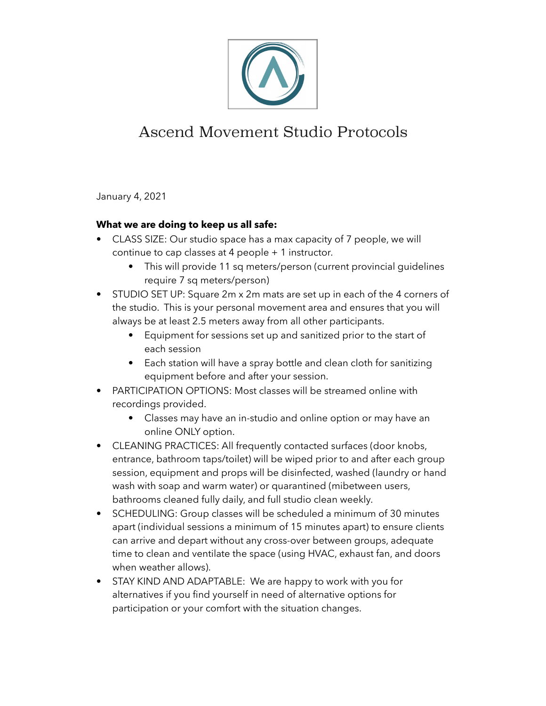

## Ascend Movement Studio Protocols

January 4, 2021

## **What we are doing to keep us all safe:**

- CLASS SIZE: Our studio space has a max capacity of 7 people, we will continue to cap classes at 4 people + 1 instructor.
	- This will provide 11 sq meters/person (current provincial guidelines require 7 sq meters/person)
- STUDIO SET UP: Square 2m x 2m mats are set up in each of the 4 corners of the studio. This is your personal movement area and ensures that you will always be at least 2.5 meters away from all other participants.
	- Equipment for sessions set up and sanitized prior to the start of each session
	- Each station will have a spray bottle and clean cloth for sanitizing equipment before and after your session.
- PARTICIPATION OPTIONS: Most classes will be streamed online with recordings provided.
	- Classes may have an in-studio and online option or may have an online ONLY option.
- CLEANING PRACTICES: All frequently contacted surfaces (door knobs, entrance, bathroom taps/toilet) will be wiped prior to and after each group session, equipment and props will be disinfected, washed (laundry or hand wash with soap and warm water) or quarantined (mibetween users, bathrooms cleaned fully daily, and full studio clean weekly.
- SCHEDULING: Group classes will be scheduled a minimum of 30 minutes apart (individual sessions a minimum of 15 minutes apart) to ensure clients can arrive and depart without any cross-over between groups, adequate time to clean and ventilate the space (using HVAC, exhaust fan, and doors when weather allows).
- STAY KIND AND ADAPTABLE: We are happy to work with you for alternatives if you find yourself in need of alternative options for participation or your comfort with the situation changes.